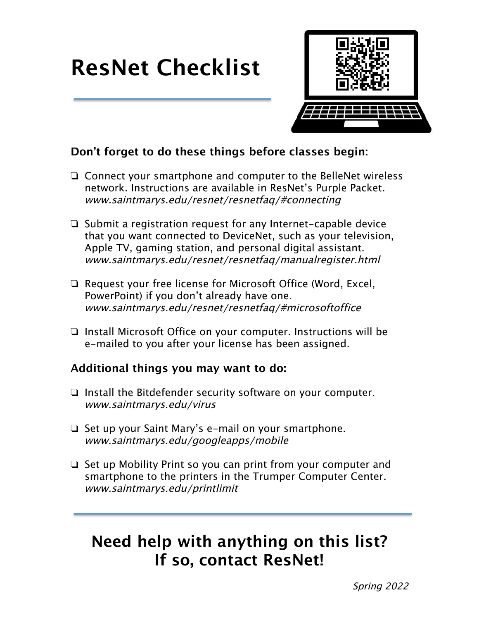# **ResNet Checklist**



#### **Don't forget to do these things before classes begin:**

- ❏ Connect your smartphone and computer to the BelleNet wireless network. Instructions are available in ResNet's Purple Packet. www.saintmarys.edu/resnet/resnetfaq/#connecting
- ❏ Submit a registration request for any Internet-capable device that you want connected to DeviceNet, such as your television, Apple TV, gaming station, and personal digital assistant. www.saintmarys.edu/resnet/resnetfaq/manualregister.html
- ❏ Request your free license for Microsoft Office (Word, Excel, PowerPoint) if you don't already have one. www.saintmarys.edu/resnet/resnetfaq/#microsoftoffice
- ❏ Install Microsoft Office on your computer. Instructions will be e-mailed to you after your license has been assigned.

#### **Additional things you may want to do:**

- ❏ Install the Bitdefender security software on your computer. www.saintmarys.edu/virus
- ❏ Set up your Saint Mary's e-mail on your smartphone. www.saintmarys.edu/googleapps/mobile
- ❏ Set up Mobility Print so you can print from your computer and smartphone to the printers in the Trumper Computer Center. www.saintmarys.edu/printlimit

### **Need help with anything on this list? If so, contact ResNet!**